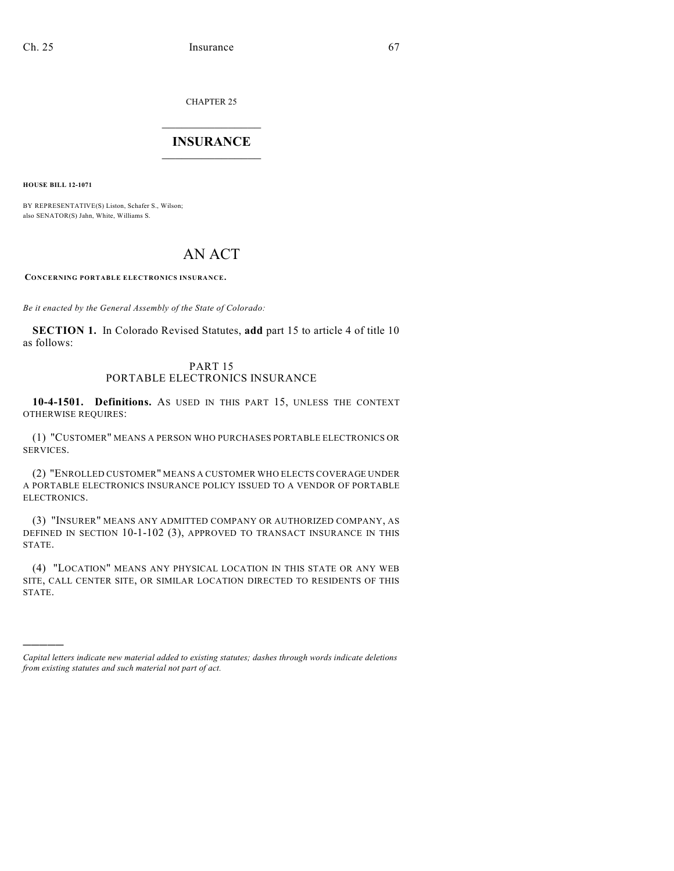CHAPTER 25

## $\mathcal{L}_\text{max}$  . The set of the set of the set of the set of the set of the set of the set of the set of the set of the set of the set of the set of the set of the set of the set of the set of the set of the set of the set **INSURANCE**  $\frac{1}{2}$  ,  $\frac{1}{2}$  ,  $\frac{1}{2}$  ,  $\frac{1}{2}$  ,  $\frac{1}{2}$  ,  $\frac{1}{2}$  ,  $\frac{1}{2}$

**HOUSE BILL 12-1071**

)))))

BY REPRESENTATIVE(S) Liston, Schafer S., Wilson; also SENATOR(S) Jahn, White, Williams S.

# AN ACT

**CONCERNING PORTABLE ELECTRONICS INSURANCE.**

*Be it enacted by the General Assembly of the State of Colorado:*

**SECTION 1.** In Colorado Revised Statutes, **add** part 15 to article 4 of title 10 as follows:

## PART 15 PORTABLE ELECTRONICS INSURANCE

**10-4-1501. Definitions.** AS USED IN THIS PART 15, UNLESS THE CONTEXT OTHERWISE REQUIRES:

(1) "CUSTOMER" MEANS A PERSON WHO PURCHASES PORTABLE ELECTRONICS OR SERVICES.

(2) "ENROLLED CUSTOMER" MEANS A CUSTOMER WHO ELECTS COVERAGE UNDER A PORTABLE ELECTRONICS INSURANCE POLICY ISSUED TO A VENDOR OF PORTABLE ELECTRONICS.

(3) "INSURER" MEANS ANY ADMITTED COMPANY OR AUTHORIZED COMPANY, AS DEFINED IN SECTION 10-1-102 (3), APPROVED TO TRANSACT INSURANCE IN THIS STATE.

(4) "LOCATION" MEANS ANY PHYSICAL LOCATION IN THIS STATE OR ANY WEB SITE, CALL CENTER SITE, OR SIMILAR LOCATION DIRECTED TO RESIDENTS OF THIS STATE.

*Capital letters indicate new material added to existing statutes; dashes through words indicate deletions from existing statutes and such material not part of act.*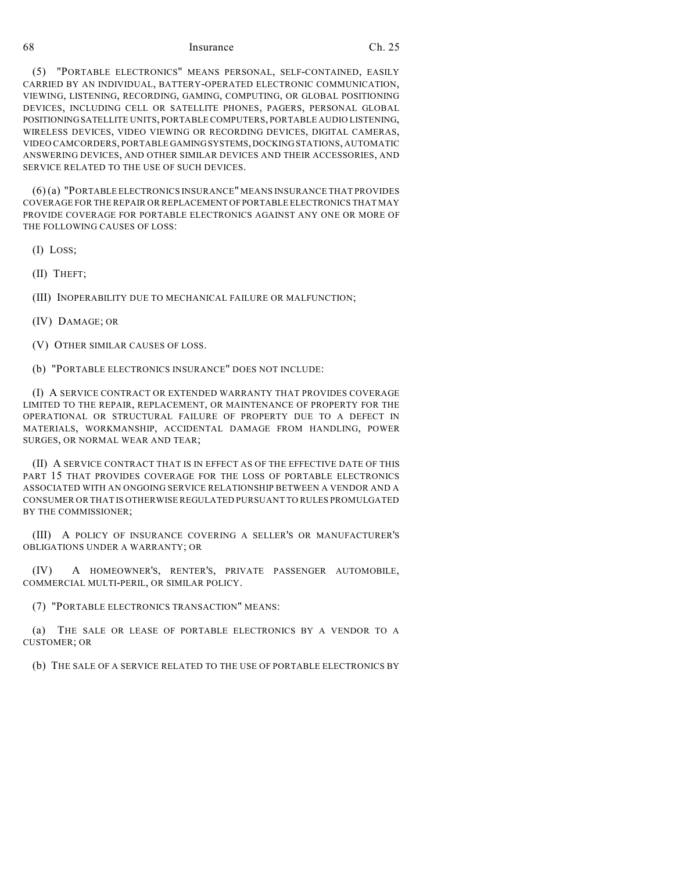#### 68 Insurance Ch. 25

(5) "PORTABLE ELECTRONICS" MEANS PERSONAL, SELF-CONTAINED, EASILY CARRIED BY AN INDIVIDUAL, BATTERY-OPERATED ELECTRONIC COMMUNICATION, VIEWING, LISTENING, RECORDING, GAMING, COMPUTING, OR GLOBAL POSITIONING DEVICES, INCLUDING CELL OR SATELLITE PHONES, PAGERS, PERSONAL GLOBAL POSITIONINGSATELLITE UNITS, PORTABLE COMPUTERS, PORTABLE AUDIO LISTENING, WIRELESS DEVICES, VIDEO VIEWING OR RECORDING DEVICES, DIGITAL CAMERAS, VIDEO CAMCORDERS, PORTABLE GAMINGSYSTEMS, DOCKING STATIONS, AUTOMATIC ANSWERING DEVICES, AND OTHER SIMILAR DEVICES AND THEIR ACCESSORIES, AND SERVICE RELATED TO THE USE OF SUCH DEVICES.

(6) (a) "PORTABLE ELECTRONICS INSURANCE" MEANS INSURANCE THAT PROVIDES COVERAGE FOR THE REPAIR OR REPLACEMENT OFPORTABLE ELECTRONICS THAT MAY PROVIDE COVERAGE FOR PORTABLE ELECTRONICS AGAINST ANY ONE OR MORE OF THE FOLLOWING CAUSES OF LOSS:

(I) LOSS;

(II) THEFT;

(III) INOPERABILITY DUE TO MECHANICAL FAILURE OR MALFUNCTION;

(IV) DAMAGE; OR

(V) OTHER SIMILAR CAUSES OF LOSS.

(b) "PORTABLE ELECTRONICS INSURANCE" DOES NOT INCLUDE:

(I) A SERVICE CONTRACT OR EXTENDED WARRANTY THAT PROVIDES COVERAGE LIMITED TO THE REPAIR, REPLACEMENT, OR MAINTENANCE OF PROPERTY FOR THE OPERATIONAL OR STRUCTURAL FAILURE OF PROPERTY DUE TO A DEFECT IN MATERIALS, WORKMANSHIP, ACCIDENTAL DAMAGE FROM HANDLING, POWER SURGES, OR NORMAL WEAR AND TEAR;

(II) A SERVICE CONTRACT THAT IS IN EFFECT AS OF THE EFFECTIVE DATE OF THIS PART 15 THAT PROVIDES COVERAGE FOR THE LOSS OF PORTABLE ELECTRONICS ASSOCIATED WITH AN ONGOING SERVICE RELATIONSHIP BETWEEN A VENDOR AND A CONSUMER OR THAT IS OTHERWISE REGULATED PURSUANT TO RULES PROMULGATED BY THE COMMISSIONER;

(III) A POLICY OF INSURANCE COVERING A SELLER'S OR MANUFACTURER'S OBLIGATIONS UNDER A WARRANTY; OR

(IV) A HOMEOWNER'S, RENTER'S, PRIVATE PASSENGER AUTOMOBILE, COMMERCIAL MULTI-PERIL, OR SIMILAR POLICY.

(7) "PORTABLE ELECTRONICS TRANSACTION" MEANS:

(a) THE SALE OR LEASE OF PORTABLE ELECTRONICS BY A VENDOR TO A CUSTOMER; OR

(b) THE SALE OF A SERVICE RELATED TO THE USE OF PORTABLE ELECTRONICS BY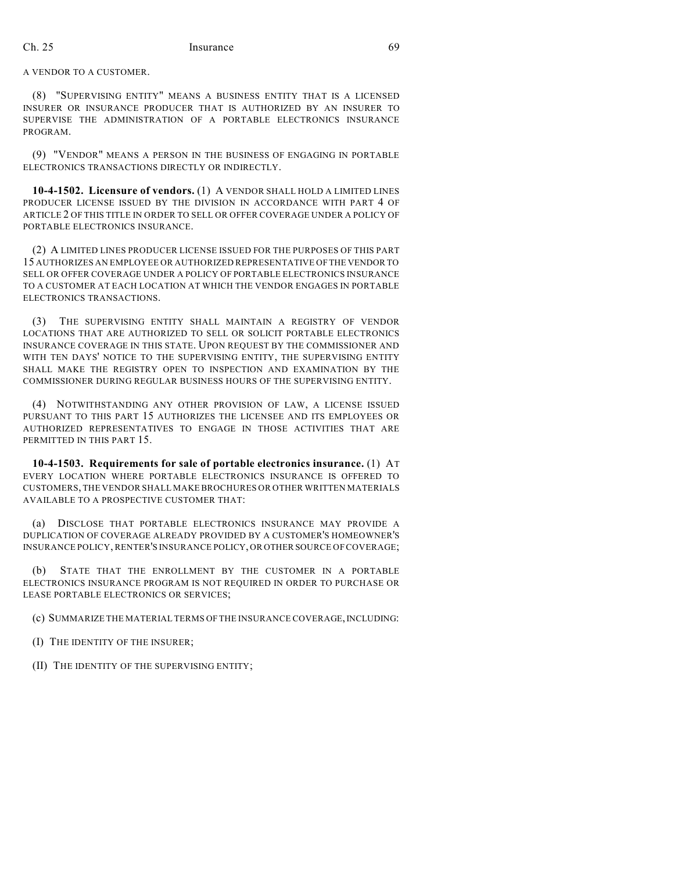## Ch. 25 Insurance 69

A VENDOR TO A CUSTOMER.

(8) "SUPERVISING ENTITY" MEANS A BUSINESS ENTITY THAT IS A LICENSED INSURER OR INSURANCE PRODUCER THAT IS AUTHORIZED BY AN INSURER TO SUPERVISE THE ADMINISTRATION OF A PORTABLE ELECTRONICS INSURANCE PROGRAM.

(9) "VENDOR" MEANS A PERSON IN THE BUSINESS OF ENGAGING IN PORTABLE ELECTRONICS TRANSACTIONS DIRECTLY OR INDIRECTLY.

**10-4-1502. Licensure of vendors.** (1) A VENDOR SHALL HOLD A LIMITED LINES PRODUCER LICENSE ISSUED BY THE DIVISION IN ACCORDANCE WITH PART 4 OF ARTICLE 2 OF THIS TITLE IN ORDER TO SELL OR OFFER COVERAGE UNDER A POLICY OF PORTABLE ELECTRONICS INSURANCE.

(2) A LIMITED LINES PRODUCER LICENSE ISSUED FOR THE PURPOSES OF THIS PART 15 AUTHORIZES AN EMPLOYEE OR AUTHORIZED REPRESENTATIVE OFTHE VENDOR TO SELL OR OFFER COVERAGE UNDER A POLICY OF PORTABLE ELECTRONICS INSURANCE TO A CUSTOMER AT EACH LOCATION AT WHICH THE VENDOR ENGAGES IN PORTABLE ELECTRONICS TRANSACTIONS.

(3) THE SUPERVISING ENTITY SHALL MAINTAIN A REGISTRY OF VENDOR LOCATIONS THAT ARE AUTHORIZED TO SELL OR SOLICIT PORTABLE ELECTRONICS INSURANCE COVERAGE IN THIS STATE. UPON REQUEST BY THE COMMISSIONER AND WITH TEN DAYS' NOTICE TO THE SUPERVISING ENTITY, THE SUPERVISING ENTITY SHALL MAKE THE REGISTRY OPEN TO INSPECTION AND EXAMINATION BY THE COMMISSIONER DURING REGULAR BUSINESS HOURS OF THE SUPERVISING ENTITY.

(4) NOTWITHSTANDING ANY OTHER PROVISION OF LAW, A LICENSE ISSUED PURSUANT TO THIS PART 15 AUTHORIZES THE LICENSEE AND ITS EMPLOYEES OR AUTHORIZED REPRESENTATIVES TO ENGAGE IN THOSE ACTIVITIES THAT ARE PERMITTED IN THIS PART 15.

**10-4-1503. Requirements for sale of portable electronics insurance.** (1) AT EVERY LOCATION WHERE PORTABLE ELECTRONICS INSURANCE IS OFFERED TO CUSTOMERS, THE VENDOR SHALL MAKE BROCHURES OR OTHER WRITTEN MATERIALS AVAILABLE TO A PROSPECTIVE CUSTOMER THAT:

(a) DISCLOSE THAT PORTABLE ELECTRONICS INSURANCE MAY PROVIDE A DUPLICATION OF COVERAGE ALREADY PROVIDED BY A CUSTOMER'S HOMEOWNER'S INSURANCE POLICY, RENTER'S INSURANCE POLICY, OR OTHER SOURCE OF COVERAGE;

(b) STATE THAT THE ENROLLMENT BY THE CUSTOMER IN A PORTABLE ELECTRONICS INSURANCE PROGRAM IS NOT REQUIRED IN ORDER TO PURCHASE OR LEASE PORTABLE ELECTRONICS OR SERVICES;

(c) SUMMARIZE THE MATERIAL TERMS OF THE INSURANCE COVERAGE,INCLUDING:

(I) THE IDENTITY OF THE INSURER;

(II) THE IDENTITY OF THE SUPERVISING ENTITY;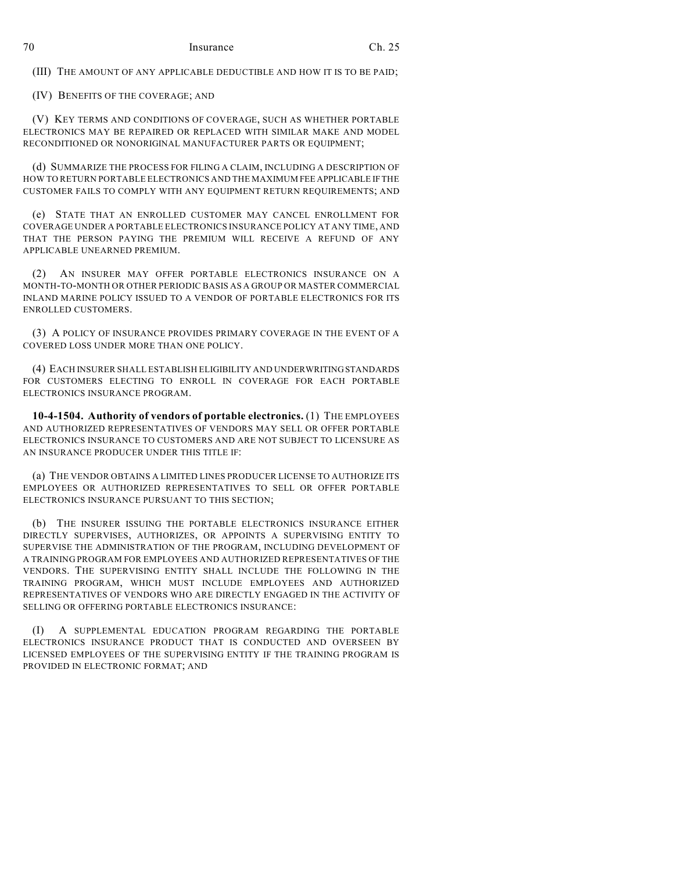(III) THE AMOUNT OF ANY APPLICABLE DEDUCTIBLE AND HOW IT IS TO BE PAID;

(IV) BENEFITS OF THE COVERAGE; AND

(V) KEY TERMS AND CONDITIONS OF COVERAGE, SUCH AS WHETHER PORTABLE ELECTRONICS MAY BE REPAIRED OR REPLACED WITH SIMILAR MAKE AND MODEL RECONDITIONED OR NONORIGINAL MANUFACTURER PARTS OR EQUIPMENT;

(d) SUMMARIZE THE PROCESS FOR FILING A CLAIM, INCLUDING A DESCRIPTION OF HOW TO RETURN PORTABLE ELECTRONICS AND THE MAXIMUM FEE APPLICABLE IF THE CUSTOMER FAILS TO COMPLY WITH ANY EQUIPMENT RETURN REQUIREMENTS; AND

(e) STATE THAT AN ENROLLED CUSTOMER MAY CANCEL ENROLLMENT FOR COVERAGE UNDER A PORTABLE ELECTRONICS INSURANCE POLICY AT ANY TIME, AND THAT THE PERSON PAYING THE PREMIUM WILL RECEIVE A REFUND OF ANY APPLICABLE UNEARNED PREMIUM.

(2) AN INSURER MAY OFFER PORTABLE ELECTRONICS INSURANCE ON A MONTH-TO-MONTH OR OTHER PERIODIC BASIS AS A GROUP OR MASTER COMMERCIAL INLAND MARINE POLICY ISSUED TO A VENDOR OF PORTABLE ELECTRONICS FOR ITS ENROLLED CUSTOMERS.

(3) A POLICY OF INSURANCE PROVIDES PRIMARY COVERAGE IN THE EVENT OF A COVERED LOSS UNDER MORE THAN ONE POLICY.

(4) EACH INSURER SHALL ESTABLISH ELIGIBILITY AND UNDERWRITINGSTANDARDS FOR CUSTOMERS ELECTING TO ENROLL IN COVERAGE FOR EACH PORTABLE ELECTRONICS INSURANCE PROGRAM.

**10-4-1504. Authority of vendors of portable electronics.** (1) THE EMPLOYEES AND AUTHORIZED REPRESENTATIVES OF VENDORS MAY SELL OR OFFER PORTABLE ELECTRONICS INSURANCE TO CUSTOMERS AND ARE NOT SUBJECT TO LICENSURE AS AN INSURANCE PRODUCER UNDER THIS TITLE IF:

(a) THE VENDOR OBTAINS A LIMITED LINES PRODUCER LICENSE TO AUTHORIZE ITS EMPLOYEES OR AUTHORIZED REPRESENTATIVES TO SELL OR OFFER PORTABLE ELECTRONICS INSURANCE PURSUANT TO THIS SECTION;

(b) THE INSURER ISSUING THE PORTABLE ELECTRONICS INSURANCE EITHER DIRECTLY SUPERVISES, AUTHORIZES, OR APPOINTS A SUPERVISING ENTITY TO SUPERVISE THE ADMINISTRATION OF THE PROGRAM, INCLUDING DEVELOPMENT OF A TRAINING PROGRAM FOR EMPLOYEES AND AUTHORIZED REPRESENTATIVES OF THE VENDORS. THE SUPERVISING ENTITY SHALL INCLUDE THE FOLLOWING IN THE TRAINING PROGRAM, WHICH MUST INCLUDE EMPLOYEES AND AUTHORIZED REPRESENTATIVES OF VENDORS WHO ARE DIRECTLY ENGAGED IN THE ACTIVITY OF SELLING OR OFFERING PORTABLE ELECTRONICS INSURANCE:

(I) A SUPPLEMENTAL EDUCATION PROGRAM REGARDING THE PORTABLE ELECTRONICS INSURANCE PRODUCT THAT IS CONDUCTED AND OVERSEEN BY LICENSED EMPLOYEES OF THE SUPERVISING ENTITY IF THE TRAINING PROGRAM IS PROVIDED IN ELECTRONIC FORMAT; AND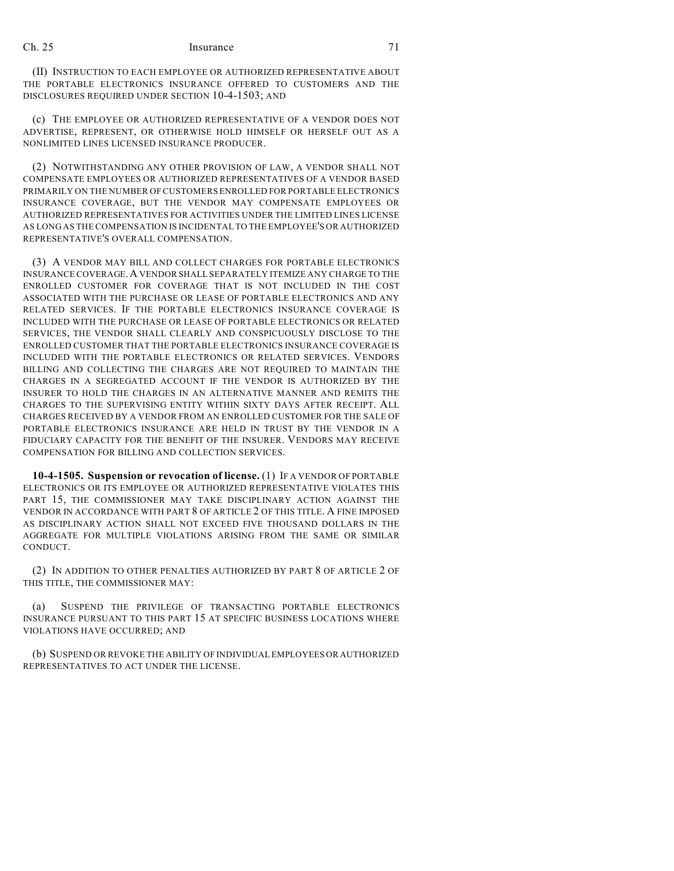## Ch. 25 Insurance 71

(II) INSTRUCTION TO EACH EMPLOYEE OR AUTHORIZED REPRESENTATIVE ABOUT THE PORTABLE ELECTRONICS INSURANCE OFFERED TO CUSTOMERS AND THE DISCLOSURES REQUIRED UNDER SECTION 10-4-1503; AND

(c) THE EMPLOYEE OR AUTHORIZED REPRESENTATIVE OF A VENDOR DOES NOT ADVERTISE, REPRESENT, OR OTHERWISE HOLD HIMSELF OR HERSELF OUT AS A NONLIMITED LINES LICENSED INSURANCE PRODUCER.

(2) NOTWITHSTANDING ANY OTHER PROVISION OF LAW, A VENDOR SHALL NOT COMPENSATE EMPLOYEES OR AUTHORIZED REPRESENTATIVES OF A VENDOR BASED PRIMARILY ON THE NUMBER OF CUSTOMERSENROLLED FOR PORTABLE ELECTRONICS INSURANCE COVERAGE, BUT THE VENDOR MAY COMPENSATE EMPLOYEES OR AUTHORIZED REPRESENTATIVES FOR ACTIVITIES UNDER THE LIMITED LINES LICENSE AS LONG AS THE COMPENSATION IS INCIDENTAL TO THE EMPLOYEE'S OR AUTHORIZED REPRESENTATIVE'S OVERALL COMPENSATION.

(3) A VENDOR MAY BILL AND COLLECT CHARGES FOR PORTABLE ELECTRONICS INSURANCE COVERAGE.A VENDOR SHALL SEPARATELY ITEMIZE ANY CHARGE TO THE ENROLLED CUSTOMER FOR COVERAGE THAT IS NOT INCLUDED IN THE COST ASSOCIATED WITH THE PURCHASE OR LEASE OF PORTABLE ELECTRONICS AND ANY RELATED SERVICES. IF THE PORTABLE ELECTRONICS INSURANCE COVERAGE IS INCLUDED WITH THE PURCHASE OR LEASE OF PORTABLE ELECTRONICS OR RELATED SERVICES, THE VENDOR SHALL CLEARLY AND CONSPICUOUSLY DISCLOSE TO THE ENROLLED CUSTOMER THAT THE PORTABLE ELECTRONICS INSURANCE COVERAGE IS INCLUDED WITH THE PORTABLE ELECTRONICS OR RELATED SERVICES. VENDORS BILLING AND COLLECTING THE CHARGES ARE NOT REQUIRED TO MAINTAIN THE CHARGES IN A SEGREGATED ACCOUNT IF THE VENDOR IS AUTHORIZED BY THE INSURER TO HOLD THE CHARGES IN AN ALTERNATIVE MANNER AND REMITS THE CHARGES TO THE SUPERVISING ENTITY WITHIN SIXTY DAYS AFTER RECEIPT. ALL CHARGES RECEIVED BY A VENDOR FROM AN ENROLLED CUSTOMER FOR THE SALE OF PORTABLE ELECTRONICS INSURANCE ARE HELD IN TRUST BY THE VENDOR IN A FIDUCIARY CAPACITY FOR THE BENEFIT OF THE INSURER. VENDORS MAY RECEIVE COMPENSATION FOR BILLING AND COLLECTION SERVICES.

**10-4-1505. Suspension or revocation of license.** (1) IF A VENDOR OF PORTABLE ELECTRONICS OR ITS EMPLOYEE OR AUTHORIZED REPRESENTATIVE VIOLATES THIS PART 15, THE COMMISSIONER MAY TAKE DISCIPLINARY ACTION AGAINST THE VENDOR IN ACCORDANCE WITH PART 8 OF ARTICLE 2 OF THIS TITLE. A FINE IMPOSED AS DISCIPLINARY ACTION SHALL NOT EXCEED FIVE THOUSAND DOLLARS IN THE AGGREGATE FOR MULTIPLE VIOLATIONS ARISING FROM THE SAME OR SIMILAR **CONDUCT.** 

(2) IN ADDITION TO OTHER PENALTIES AUTHORIZED BY PART 8 OF ARTICLE 2 OF THIS TITLE, THE COMMISSIONER MAY:

(a) SUSPEND THE PRIVILEGE OF TRANSACTING PORTABLE ELECTRONICS INSURANCE PURSUANT TO THIS PART 15 AT SPECIFIC BUSINESS LOCATIONS WHERE VIOLATIONS HAVE OCCURRED; AND

(b) SUSPEND OR REVOKE THE ABILITY OF INDIVIDUAL EMPLOYEES OR AUTHORIZED REPRESENTATIVES TO ACT UNDER THE LICENSE.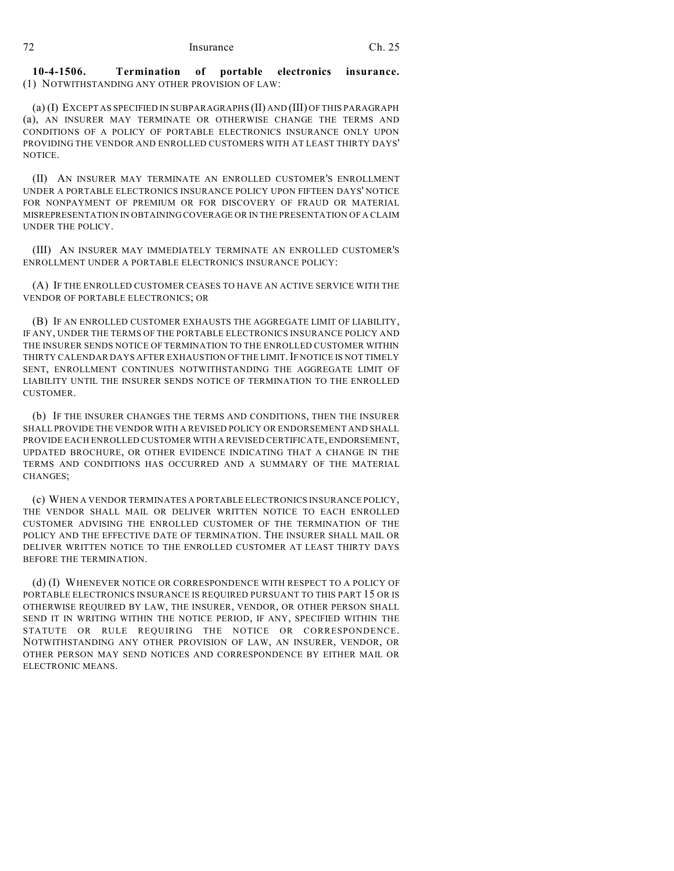#### **10-4-1506. Termination of portable electronics insurance.** (1) NOTWITHSTANDING ANY OTHER PROVISION OF LAW:

(a) (I) EXCEPT AS SPECIFIED IN SUBPARAGRAPHS (II) AND (III) OF THIS PARAGRAPH (a), AN INSURER MAY TERMINATE OR OTHERWISE CHANGE THE TERMS AND CONDITIONS OF A POLICY OF PORTABLE ELECTRONICS INSURANCE ONLY UPON PROVIDING THE VENDOR AND ENROLLED CUSTOMERS WITH AT LEAST THIRTY DAYS' **NOTICE.** 

(II) AN INSURER MAY TERMINATE AN ENROLLED CUSTOMER'S ENROLLMENT UNDER A PORTABLE ELECTRONICS INSURANCE POLICY UPON FIFTEEN DAYS' NOTICE FOR NONPAYMENT OF PREMIUM OR FOR DISCOVERY OF FRAUD OR MATERIAL MISREPRESENTATION IN OBTAINING COVERAGE OR IN THE PRESENTATION OF A CLAIM UNDER THE POLICY.

(III) AN INSURER MAY IMMEDIATELY TERMINATE AN ENROLLED CUSTOMER'S ENROLLMENT UNDER A PORTABLE ELECTRONICS INSURANCE POLICY:

(A) IF THE ENROLLED CUSTOMER CEASES TO HAVE AN ACTIVE SERVICE WITH THE VENDOR OF PORTABLE ELECTRONICS; OR

(B) IF AN ENROLLED CUSTOMER EXHAUSTS THE AGGREGATE LIMIT OF LIABILITY, IF ANY, UNDER THE TERMS OF THE PORTABLE ELECTRONICS INSURANCE POLICY AND THE INSURER SENDS NOTICE OF TERMINATION TO THE ENROLLED CUSTOMER WITHIN THIRTY CALENDAR DAYS AFTER EXHAUSTION OF THE LIMIT. IF NOTICE IS NOT TIMELY SENT, ENROLLMENT CONTINUES NOTWITHSTANDING THE AGGREGATE LIMIT OF LIABILITY UNTIL THE INSURER SENDS NOTICE OF TERMINATION TO THE ENROLLED CUSTOMER.

(b) IF THE INSURER CHANGES THE TERMS AND CONDITIONS, THEN THE INSURER SHALL PROVIDE THE VENDOR WITH A REVISED POLICY OR ENDORSEMENT AND SHALL PROVIDE EACH ENROLLED CUSTOMER WITH A REVISED CERTIFICATE, ENDORSEMENT, UPDATED BROCHURE, OR OTHER EVIDENCE INDICATING THAT A CHANGE IN THE TERMS AND CONDITIONS HAS OCCURRED AND A SUMMARY OF THE MATERIAL CHANGES;

(c) WHEN A VENDOR TERMINATES A PORTABLE ELECTRONICS INSURANCE POLICY, THE VENDOR SHALL MAIL OR DELIVER WRITTEN NOTICE TO EACH ENROLLED CUSTOMER ADVISING THE ENROLLED CUSTOMER OF THE TERMINATION OF THE POLICY AND THE EFFECTIVE DATE OF TERMINATION. THE INSURER SHALL MAIL OR DELIVER WRITTEN NOTICE TO THE ENROLLED CUSTOMER AT LEAST THIRTY DAYS BEFORE THE TERMINATION.

(d) (I) WHENEVER NOTICE OR CORRESPONDENCE WITH RESPECT TO A POLICY OF PORTABLE ELECTRONICS INSURANCE IS REQUIRED PURSUANT TO THIS PART 15 OR IS OTHERWISE REQUIRED BY LAW, THE INSURER, VENDOR, OR OTHER PERSON SHALL SEND IT IN WRITING WITHIN THE NOTICE PERIOD, IF ANY, SPECIFIED WITHIN THE STATUTE OR RULE REQUIRING THE NOTICE OR CORRESPONDENCE. NOTWITHSTANDING ANY OTHER PROVISION OF LAW, AN INSURER, VENDOR, OR OTHER PERSON MAY SEND NOTICES AND CORRESPONDENCE BY EITHER MAIL OR ELECTRONIC MEANS.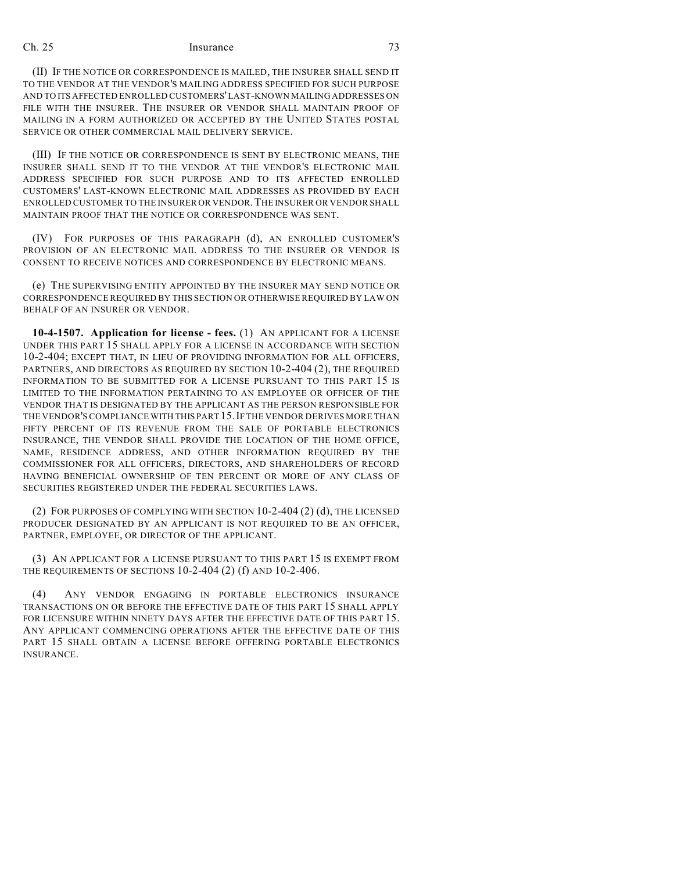## Ch. 25 Insurance 73

(II) IF THE NOTICE OR CORRESPONDENCE IS MAILED, THE INSURER SHALL SEND IT TO THE VENDOR AT THE VENDOR'S MAILING ADDRESS SPECIFIED FOR SUCH PURPOSE AND TO ITS AFFECTED ENROLLED CUSTOMERS'LAST-KNOWN MAILING ADDRESSES ON FILE WITH THE INSURER. THE INSURER OR VENDOR SHALL MAINTAIN PROOF OF MAILING IN A FORM AUTHORIZED OR ACCEPTED BY THE UNITED STATES POSTAL SERVICE OR OTHER COMMERCIAL MAIL DELIVERY SERVICE.

(III) IF THE NOTICE OR CORRESPONDENCE IS SENT BY ELECTRONIC MEANS, THE INSURER SHALL SEND IT TO THE VENDOR AT THE VENDOR'S ELECTRONIC MAIL ADDRESS SPECIFIED FOR SUCH PURPOSE AND TO ITS AFFECTED ENROLLED CUSTOMERS' LAST-KNOWN ELECTRONIC MAIL ADDRESSES AS PROVIDED BY EACH ENROLLED CUSTOMER TO THE INSURER OR VENDOR.THE INSURER OR VENDOR SHALL MAINTAIN PROOF THAT THE NOTICE OR CORRESPONDENCE WAS SENT.

(IV) FOR PURPOSES OF THIS PARAGRAPH (d), AN ENROLLED CUSTOMER'S PROVISION OF AN ELECTRONIC MAIL ADDRESS TO THE INSURER OR VENDOR IS CONSENT TO RECEIVE NOTICES AND CORRESPONDENCE BY ELECTRONIC MEANS.

(e) THE SUPERVISING ENTITY APPOINTED BY THE INSURER MAY SEND NOTICE OR CORRESPONDENCE REQUIRED BY THIS SECTION OR OTHERWISE REQUIRED BY LAW ON BEHALF OF AN INSURER OR VENDOR.

**10-4-1507. Application for license - fees.** (1) AN APPLICANT FOR A LICENSE UNDER THIS PART 15 SHALL APPLY FOR A LICENSE IN ACCORDANCE WITH SECTION 10-2-404; EXCEPT THAT, IN LIEU OF PROVIDING INFORMATION FOR ALL OFFICERS, PARTNERS, AND DIRECTORS AS REQUIRED BY SECTION 10-2-404 (2), THE REQUIRED INFORMATION TO BE SUBMITTED FOR A LICENSE PURSUANT TO THIS PART 15 IS LIMITED TO THE INFORMATION PERTAINING TO AN EMPLOYEE OR OFFICER OF THE VENDOR THAT IS DESIGNATED BY THE APPLICANT AS THE PERSON RESPONSIBLE FOR THE VENDOR'S COMPLIANCE WITH THIS PART 15.IF THE VENDOR DERIVES MORE THAN FIFTY PERCENT OF ITS REVENUE FROM THE SALE OF PORTABLE ELECTRONICS INSURANCE, THE VENDOR SHALL PROVIDE THE LOCATION OF THE HOME OFFICE, NAME, RESIDENCE ADDRESS, AND OTHER INFORMATION REQUIRED BY THE COMMISSIONER FOR ALL OFFICERS, DIRECTORS, AND SHAREHOLDERS OF RECORD HAVING BENEFICIAL OWNERSHIP OF TEN PERCENT OR MORE OF ANY CLASS OF SECURITIES REGISTERED UNDER THE FEDERAL SECURITIES LAWS.

(2) FOR PURPOSES OF COMPLYING WITH SECTION 10-2-404 (2) (d), THE LICENSED PRODUCER DESIGNATED BY AN APPLICANT IS NOT REQUIRED TO BE AN OFFICER, PARTNER, EMPLOYEE, OR DIRECTOR OF THE APPLICANT.

(3) AN APPLICANT FOR A LICENSE PURSUANT TO THIS PART 15 IS EXEMPT FROM THE REQUIREMENTS OF SECTIONS 10-2-404 (2) (f) AND 10-2-406.

(4) ANY VENDOR ENGAGING IN PORTABLE ELECTRONICS INSURANCE TRANSACTIONS ON OR BEFORE THE EFFECTIVE DATE OF THIS PART 15 SHALL APPLY FOR LICENSURE WITHIN NINETY DAYS AFTER THE EFFECTIVE DATE OF THIS PART 15. ANY APPLICANT COMMENCING OPERATIONS AFTER THE EFFECTIVE DATE OF THIS PART 15 SHALL OBTAIN A LICENSE BEFORE OFFERING PORTABLE ELECTRONICS INSURANCE.